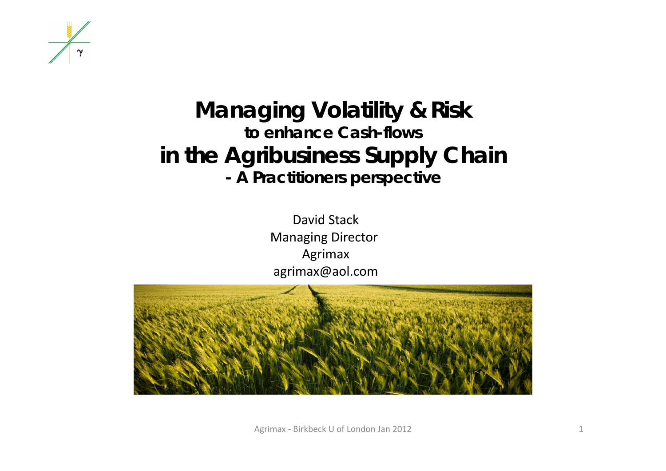

#### **Managing Volatility & Risk to enhance Cash-flows in the Agribusiness Supply Chain - A Practitioners perspective**

David Stack Managing Director Agrimax agrimax@aol.com



Agrimax ‐ Birkbeck U of London Jan 2012 1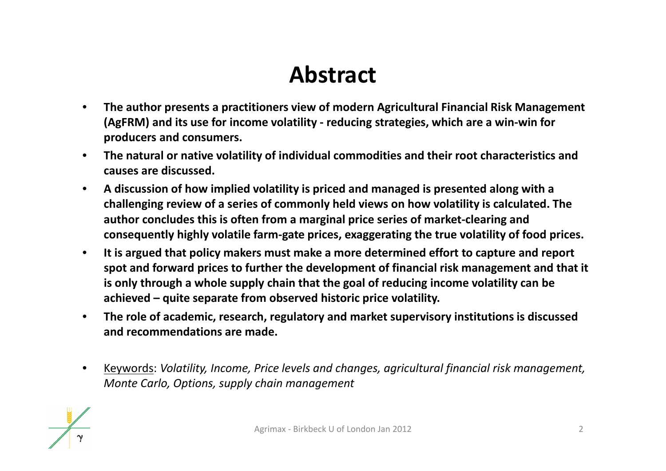## **Abstract**

- • **The author presents <sup>a</sup> practitioners view of modern Agricultural Financial Risk Management (AgFRM) and its use for income volatility ‐ reducing strategies, which are <sup>a</sup> win‐win for producers and consumers.**
- $\bullet$  **The natural or native volatility of individual commodities and their root characteristics and causes are discussed.**
- $\bullet$  **A discussion of how implied volatility is priced and managed is presented along with <sup>a</sup> challenging review of <sup>a</sup> series of commonly held views on how volatility is calculated. The author concludes this is often from <sup>a</sup> marginal price series of market‐clearing and consequently highly volatile farm‐gate prices, exaggerating the true volatility of food prices.**
- $\bullet$  **It is argued that policy makers must make <sup>a</sup> more determined effort to capture and report spot and forward prices to further the development of financial risk management and that it is only through <sup>a</sup> whole supply chain that the goal of reducing income volatility can be achieved – quite separate from observed historic price volatility.**
- $\bullet$  **The role of academic, research, regulatory and market supervisory institutions is discussed and recommendations are made.**
- $\bullet$  Keywords: *Volatility, Income, Price levels and changes, agricultural financial risk management, Monte Carlo, Options, supply chain management*

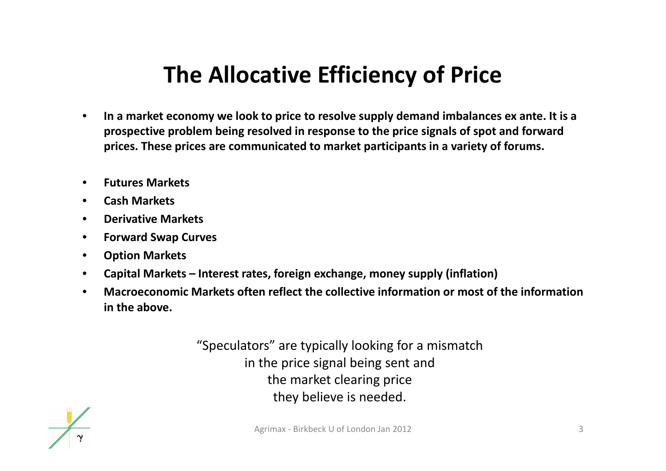## **The Allocative Efficiency of Price**

- • **In <sup>a</sup> market economy we look to price to resolve supply demand imbalances ex ante. It is <sup>a</sup> prospective problem being resolved in response to the price signals of spot and forward prices. These prices are communicated to market participants in <sup>a</sup> variety of forums.**
- •**Futures Markets**
- $\bullet$ **Cash Markets**
- $\bullet$ **Derivative Markets**
- $\bullet$ **Forward Swap Curves**
- $\bullet$ **Option Markets**
- $\bullet$ **Capital Markets – Interest rates, foreign exchange, money supply (inflation)**
- • **Macroeconomic Markets often reflect the collective information or most of the information in the above.**

"Speculators" are typically looking for <sup>a</sup> mismatch in the price signal being sent and the market clearing price they believe is needed.

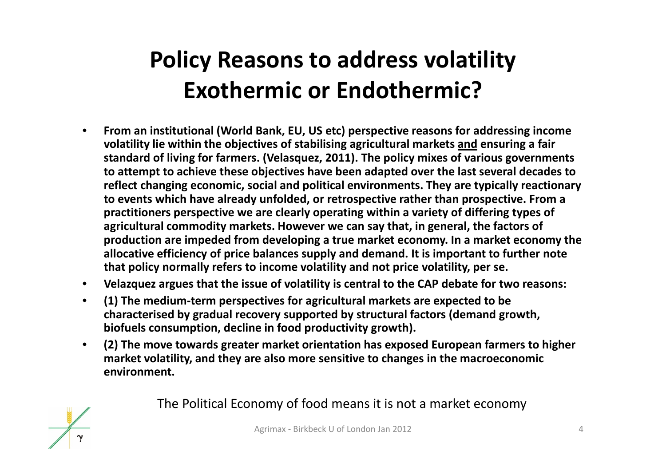# **Policy Reasons to address volatility Exothermic or Endothermic?**

- $\bullet$  **From an institutional (World Bank, EU, US etc) perspective reasons for addressing income volatility lie within the objectives of stabilising agricultural markets and ensuring <sup>a</sup> fair standard of living for farmers. (Velasquez, 2011). The policy mixes of various governments to attempt to achieve these objectives have been adapted over the last several decades to reflect changing economic, social and political environments. They are typically reactionary to events which have already unfolded, or retrospective rather than prospective. From <sup>a</sup> practitioners perspective we are clearly operating within <sup>a</sup> variety of differing types of agricultural commodity markets. However we can say that, in general, the factors of production are impeded from developing <sup>a</sup> true market economy. In <sup>a</sup> market economy the allocative efficiency of price balances supply and demand. It is important to further note that policy normally refers to income volatility and not price volatility, per se.**
- **Velazquez argues that the issue of volatility is central to the CAP debate for two reasons:**
- $\bullet$  **(1) The medium‐term perspectives for agricultural markets are expected to be characterised by gradual recovery supported by structural factors (demand growth, biofuels consumption, decline in food productivity growth).**
- • **(2) The move towards greater market orientation has exposed European farmers to higher market volatility, and they are also more sensitive to changes in the macroeconomic environment.**

The Political Economy of food means it is not <sup>a</sup> market economy

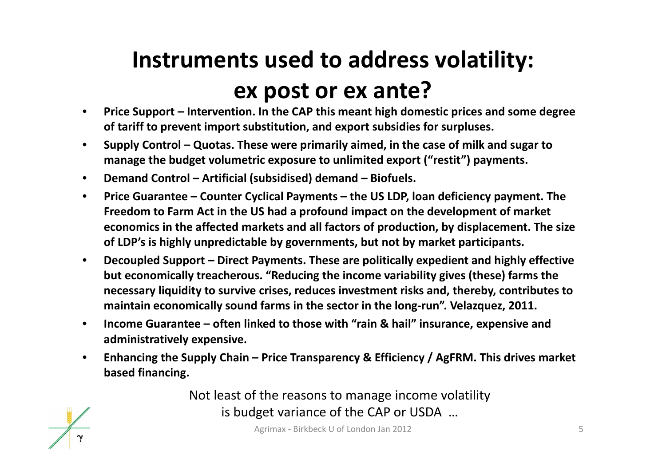# **Instruments used to address volatility: ex post or ex ante?**

- $\bullet$  **Price Support – Intervention. In the CAP this meant high domestic prices and some degree of tariff to prevent import substitution, and export subsidies for surpluses.**
- $\bullet$  **Supply Control – Quotas. These were primarily aimed, in the case of milk and sugar to manage the budget volumetric exposure to unlimited export ("restit") payments.**
- $\bullet$ **Demand Control – Artificial (subsidised) demand – Biofuels.**
- $\bullet$  **Price Guarantee – Counter Cyclical Payments – the US LDP, loan deficiency payment. The Freedom to Farm Act in the US had <sup>a</sup> profound impact on the development of market economics in the affected markets and all factors of production, by displacement. The size of LDP's is highly unpredictable by governments, but not by market participants.**
- $\bullet$  **Decoupled Support – Direct Payments. These are politically expedient and highly effective but economically treacherous. "Reducing the income variability gives (these) farms the necessary liquidity to survive crises, reduces investment risks and, thereby, contributes to maintain economically sound farms in the sector in the long‐run". Velazquez, 2011.**
- $\bullet$  **Income Guarantee – often linked to those with "rain & hail" insurance, expensive and administratively expensive.**
- $\bullet$  **Enhancing the Supply Chain – Price Transparency & Efficiency / AgFRM. This drives market based financing.**

Not least of the reasons to manage income volatility is budget variance of the CAP or USDA …



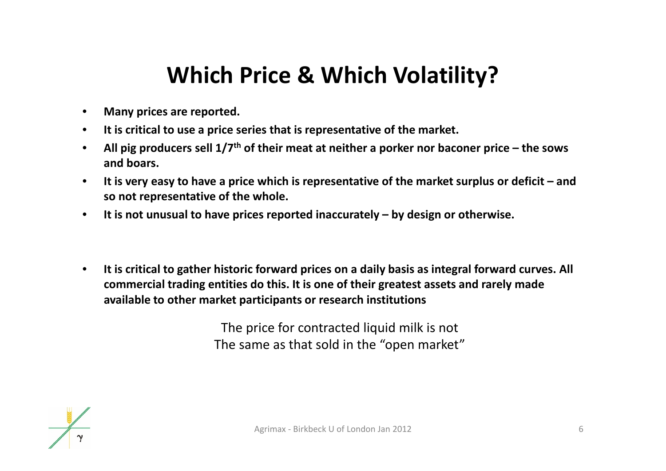### **Which Price & Which Volatility?**

- $\bullet$ **Many prices are reported.**
- •**It is critical to use <sup>a</sup> price series that is representative of the market.**
- $\bullet$  **All pig producers sell 1/7th of their meat at neither <sup>a</sup> porker nor baconer price – the sows and boars.**
- $\bullet$ • It is very easy to have a price which is representative of the market surplus or deficit – and **so not representative of the whole.**
- $\bullet$ **It is not unusual to have prices reported inaccurately – by design or otherwise.**
- $\bullet$  **It is critical to gather historic forward prices on <sup>a</sup> daily basis as integral forward curves. All commercial trading entities do this. It is one of their greatest assets and rarely made available to other market participants or research institutions**

The price for contracted liquid milk is not The same as that sold in the "open market"

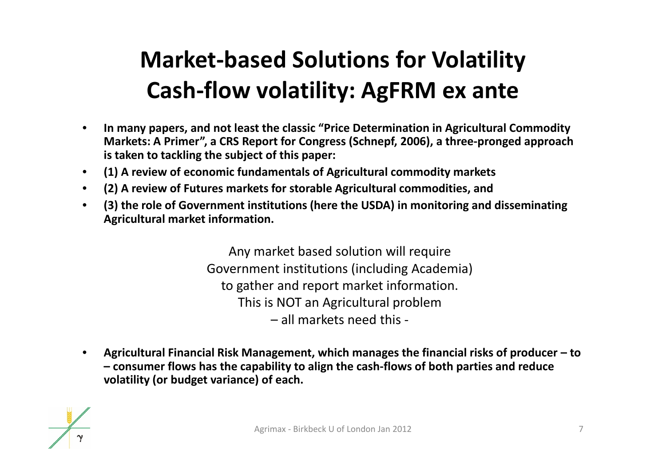# **Market‐based Solutions for Volatility Cash‐flow volatility: AgFRM ex ante**

- • **In many papers, and not least the classic "Price Determination in Agricultural Commodity Markets: A Primer", <sup>a</sup> CRS Report for Congress (Schnepf, 2006), <sup>a</sup> three‐pronged approach is taken to tackling the subject of this paper:**
- $\bullet$ **(1) A review of economic fundamentals of Agricultural commodity markets**
- $\bullet$ **(2) A review of Futures markets for storable Agricultural commodities, and**
- $\bullet$  **(3) the role of Government institutions (here the USDA) in monitoring and disseminating Agricultural market information.**

Any market based solution will require Government institutions (including Academia) to gather and report market information. This is NOT an Agricultural problem – all markets need this ‐

• **Agricultural Financial Risk Management, which manages the financial risks of producer – to – consumer flows has the capability to align the cash‐flows of both parties and reduce volatility (or budget variance) of each.**

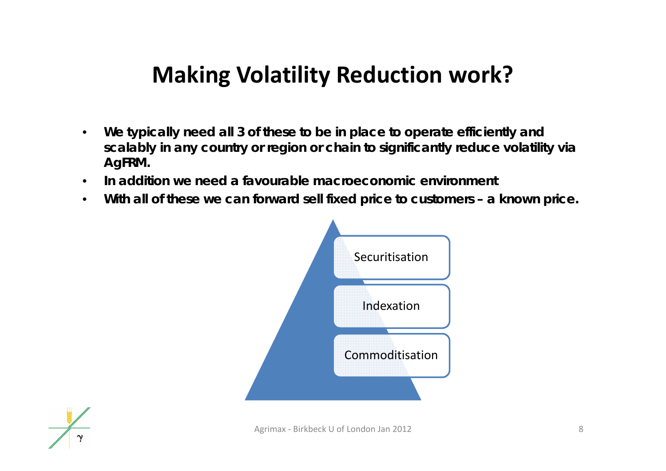### **Making Volatility Reduction work?**

- $\bullet$  **We typically need all 3 of these to be in place to operate efficiently and scalably in any country or region or chain to significantly reduce volatility via AgFRM.**
- •**In addition we need a favourable macroeconomic environment**
- $\bullet$ **With all of these we can forward sell fixed price to customers – a known price.**



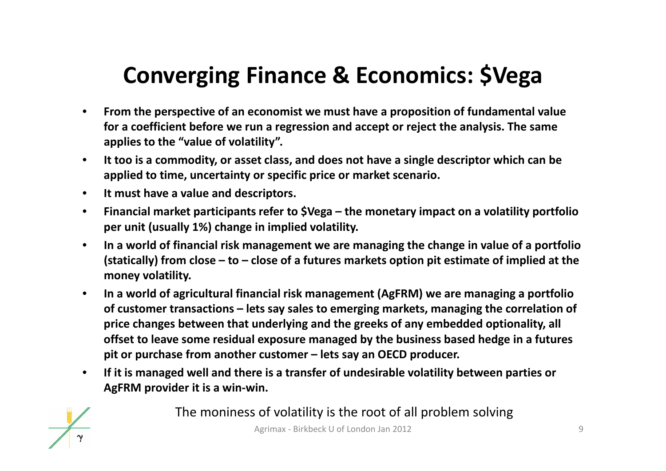## **Converging Finance & Economics: \$Vega**

- $\bullet$  **From the perspective of an economist we must have <sup>a</sup> proposition of fundamental value for a coefficient before we run <sup>a</sup> regression and accept or reject the analysis. The same applies to the "value of volatility".**
- $\bullet$  **It too is <sup>a</sup> commodity, or asset class, and does not have <sup>a</sup> single descriptor which can be applied to time, uncertainty or specific price or market scenario.**
- $\bullet$ **It must have <sup>a</sup> value and descriptors.**
- $\bullet$  **Financial market participants refer to \$Vega – the monetary impact on <sup>a</sup> volatility portfolio per unit (usually 1%) change in implied volatility.**
- $\bullet$  **In <sup>a</sup> world of financial risk management we are managing the change in value of <sup>a</sup> portfolio** (statically) from close  $-$  to  $-$  close of a futures markets option pit estimate of implied at the **money volatility.**
- $\bullet$  **In <sup>a</sup> world of agricultural financial risk management (AgFRM) we are managing <sup>a</sup> portfolio of customer transactions – lets say sales to emerging markets, managing the correlation of price changes between that underlying and the greeks of any embedded optionality, all offset to leave some residual exposure managed by the business based hedge in <sup>a</sup> futures pit or purchase from another customer – lets say an OECD producer.**
- $\bullet$  **If it is managed well and there is <sup>a</sup> transfer of undesirable volatility between parties or AgFRM provider it is <sup>a</sup> win‐win.**



The moniness of volatility is the root of all problem solving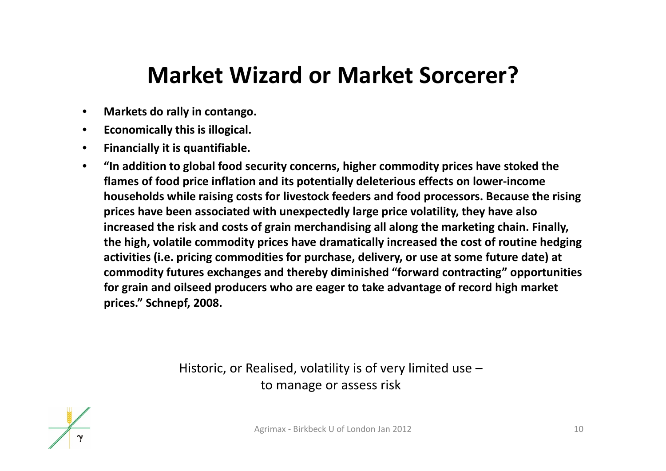#### **Market Wizard or Market Sorcerer?**

- $\bullet$ **Markets do rally in contango.**
- $\bullet$ **Economically this is illogical.**
- $\bullet$ **Financially it is quantifiable.**
- $\bullet$  **"In addition to global food security concerns, higher commodity prices have stoked the flames of food price inflation and its potentially deleterious effects on lower‐income households while raising costs for livestock feeders and food processors. Because the rising prices have been associated with unexpectedly large price volatility, they have also increased the risk and costs of grain merchandising all along the marketing chain. Finally, the high, volatile commodity prices have dramatically increased the cost of routine hedging activities (i.e. pricing commodities for purchase, delivery, or use at some future date) at commodity futures exchanges and thereby diminished "forward contracting" opportunities for grain and oilseed producers who are eager to take advantage of record high market prices." Schnepf, 2008.**

Historic, or Realised, volatility is of very limited use – to manage or assess risk

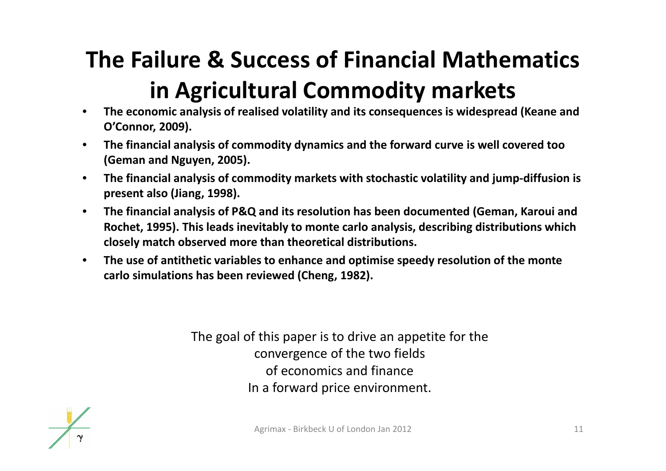# **The Failure & Success of Financial Mathematics in Agricultural Commodity markets**

- $\bullet$  **The economic analysis of realised volatility and its consequences is widespread (Keane and O'Connor, 2009).**
- • **The financial analysis of commodity dynamics and the forward curve is well covered too (Geman and Nguyen, 2005).**
- $\bullet$  **The financial analysis of commodity markets with stochastic volatility and jump‐diffusion is present also (Jiang, 1998).**
- $\bullet$  **The financial analysis of P&Q and its resolution has been documented (Geman, Karoui and Rochet, 1995). This leads inevitably to monte carlo analysis, describing distributions which closely match observed more than theoretical distributions.**
- $\bullet$  **The use of antithetic variables to enhance and optimise speedy resolution of the monte carlo simulations has been reviewed (Cheng, 1982).**

The goal of this paper is to drive an appetite for the convergence of the two fields of economics and finance In <sup>a</sup> forward price environment.

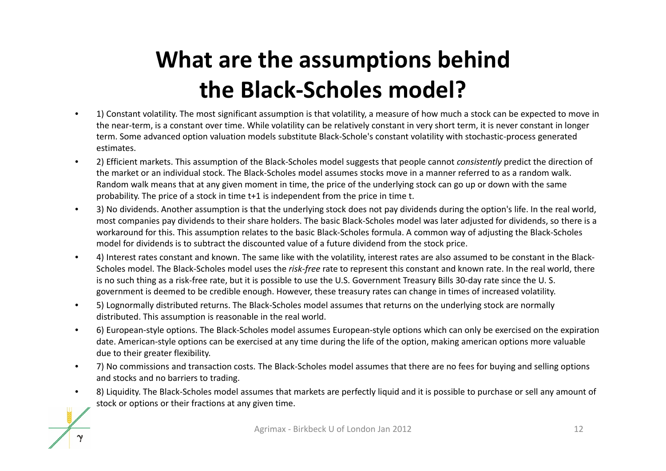# **What are the assumptions behind the Black‐Scholes model?**

- • 1) Constant volatility. The most significant assumption is that volatility, <sup>a</sup> measure of how much <sup>a</sup> stock can be expected to move in the near‐term, is <sup>a</sup> constant over time. While volatility can be relatively constant in very short term, it is never constant in longer term. Some advanced option valuation models substitute Black‐Schole's constant volatility with stochastic‐process generated estimates.
- • 2) Efficient markets. This assumption of the Black‐Scholes model suggests that people cannot *consistently* predict the direction of the market or an individual stock. The Black‐Scholes model assumes stocks move in <sup>a</sup> manner referred to as <sup>a</sup> random walk. Random walk means that at any given moment in time, the price of the underlying stock can go up or down with the same probability. The price of <sup>a</sup> stock in time t+1 is independent from the price in time t.
- • 3) No dividends. Another assumption is that the underlying stock does not pay dividends during the option's life. In the real world, most companies pay dividends to their share holders. The basic Black‐Scholes model was later adjusted for dividends, so there is <sup>a</sup> workaround for this. This assumption relates to the basic Black‐Scholes formula. A common way of adjusting the Black‐Scholes model for dividends is to subtract the discounted value of <sup>a</sup> future dividend from the stock price.
- • 4) Interest rates constant and known. The same like with the volatility, interest rates are also assumed to be constant in the Black‐ Scholes model. The Black‐Scholes model uses the *risk‐free* rate to represent this constant and known rate. In the real world, there is no such thing as <sup>a</sup> risk‐free rate, but it is possible to use the U.S. Government Treasury Bills 30‐day rate since the U. S. government is deemed to be credible enough. However, these treasury rates can change in times of increased volatility.
- •5) Lognormally distributed returns. The Black-Scholes model assumes that returns on the underlying stock are normally distributed. This assumption is reasonable in the real world.
- • 6) European‐style options. The Black‐Scholes model assumes European‐style options which can only be exercised on the expiration date. American‐style options can be exercised at any time during the life of the option, making american options more valuable due to their greater flexibility.
- • 7) No commissions and transaction costs. The Black‐Scholes model assumes that there are no fees for buying and selling options and stocks and no barriers to trading.
- •8) Liquidity. The Black-Scholes model assumes that markets are perfectly liquid and it is possible to purchase or sell any amount of stock or options or their fractions at any given time.

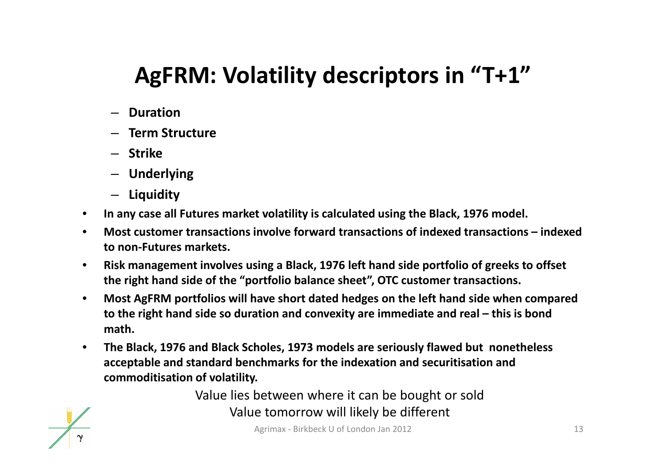## **AgFRM: Volatility descriptors in "T+1"**

- **Duration**
- **Term Structure**
- **Strike**
- **Underlying**
- **Liquidity**
- $\bullet$ **In any case all Futures market volatility is calculated using the Black, 1976 model.**
- $\bullet$  **Most customer transactions involve forward transactions of indexed transactions – indexed to non‐Futures markets.**
- $\bullet$  **Risk management involves using <sup>a</sup> Black, 1976 left hand side portfolio of greeks to offset the right hand side of the "portfolio balance sheet", OTC customer transactions.**
- • **Most AgFRM portfolios will have short dated hedges on the left hand side when compared to the right hand side so duration and convexity are immediate and real – this is bond math.**
- $\bullet$  **The Black, 1976 and Black Scholes, 1973 models are seriously flawed but nonetheless acceptable and standard benchmarks for the indexation and securitisation and commoditisation of volatility.**

Value lies between where it can be bought or sold Value tomorrow will likely be different

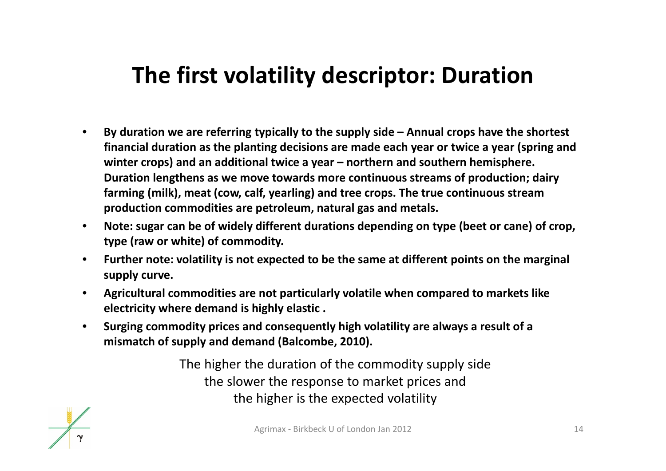### **The first volatility descriptor: Duration**

- $\bullet$  **By duration we are referring typically to the supply side – Annual crops have the shortest financial duration as the planting decisions are made each year or twice <sup>a</sup> year (spring and winter crops) and an additional twice <sup>a</sup> year – northern and southern hemisphere. Duration lengthens as we move towards more continuous streams of production; dairy farming (milk), meat (cow, calf, yearling) and tree crops. The true continuous stream production commodities are petroleum, natural gas and metals.**
- $\bullet$  **Note: sugar can be of widely different durations depending on type (beet or cane) of crop, type (raw or white) of commodity.**
- $\bullet$  **Further note: volatility is not expected to be the same at different points on the marginal supply curve.**
- $\bullet$  **Agricultural commodities are not particularly volatile when compared to markets like electricity where demand is highly elastic .**
- $\bullet$  **Surging commodity prices and consequently high volatility are always <sup>a</sup> result of <sup>a</sup> mismatch of supply and demand (Balcombe, 2010).**

The higher the duration of the commodity supply side the slower the response to market prices and the higher is the expected volatility

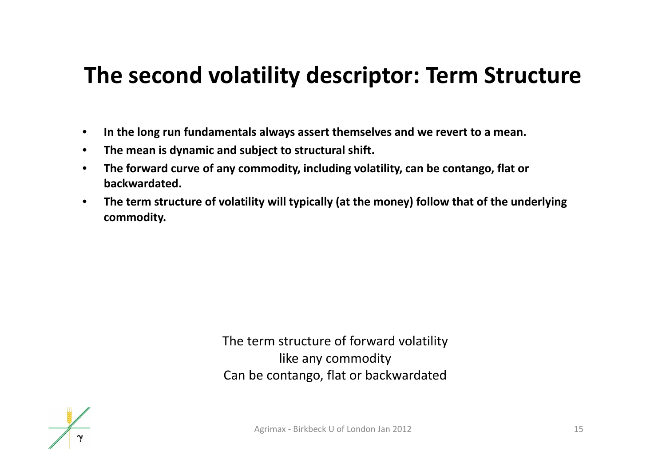#### **The second volatility descriptor: Term Structure**

- $\bullet$ **In the long run fundamentals always assert themselves and we revert to <sup>a</sup> mean.**
- $\bullet$ **The mean is dynamic and subject to structural shift.**
- $\bullet$  **The forward curve of any commodity, including volatility, can be contango, flat or backwardated.**
- • **The term structure of volatility will typically (at the money) follow that of the underlying commodity.**

The term structure of forward volatility like any commodity Can be contango, flat or backwardated

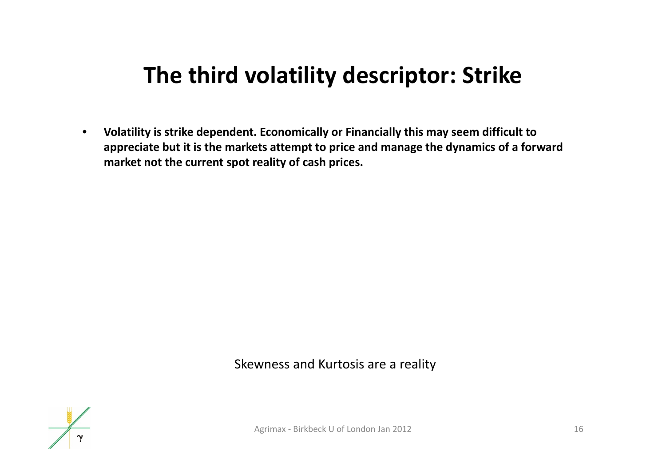### **The third volatility descriptor: Strike**

 $\bullet$  **Volatility is strike dependent. Economically or Financially this may seem difficult to appreciate but it is the markets attempt to price and manage the dynamics of <sup>a</sup> forward market not the current spot reality of cash prices.**

#### Skewness and Kurtosis are <sup>a</sup> reality

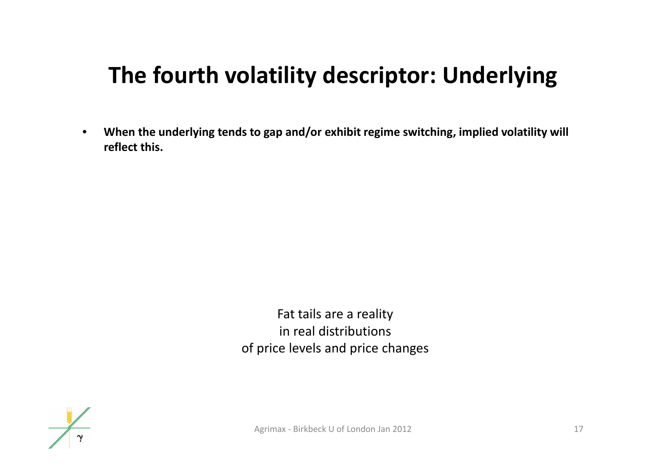## **The fourth volatility descriptor: Underlying**

 $\bullet$  **When the underlying tends to gap and/or exhibit regime switching, implied volatility will reflect this.**

> Fat tails are <sup>a</sup> reality in real distributions of price levels and price changes

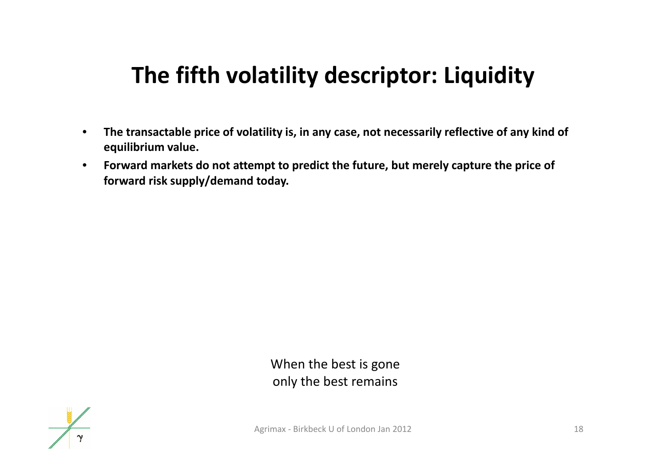## **The fifth volatility descriptor: Liquidity**

- $\bullet$  **The transactable price of volatility is, in any case, not necessarily reflective of any kind of equilibrium value.**
- $\bullet$  **Forward markets do not attempt to predict the future, but merely capture the price of forward risk supply/demand today.**

When the best is gone only the best remains

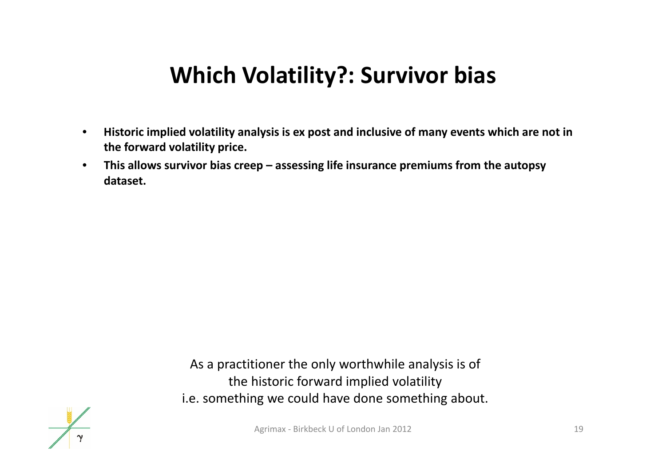#### **Which Volatility?: Survivor bias**

- $\bullet$  **Historic implied volatility analysis is ex post and inclusive of many events which are not in the forward volatility price.**
- • **This allows survivor bias creep – assessing life insurance premiums from the autopsy dataset.**

As a practitioner the only worthwhile analysis is of the historic forward implied volatility i.e. something we could have done something about.

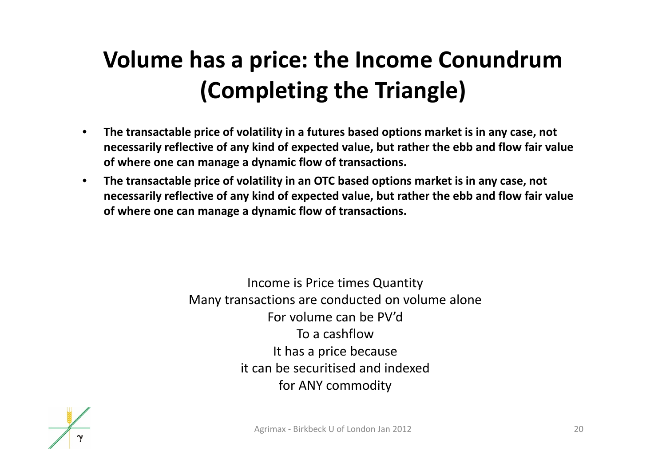# **Volume has <sup>a</sup> price: the Income Conundrum (Completing the Triangle)**

- • **The transactable price of volatility in <sup>a</sup> futures based options market is in any case, not necessarily reflective of any kind of expected value, but rather the ebb and flow fair value of where one can manage <sup>a</sup> dynamic flow of transactions.**
- $\bullet$  **The transactable price of volatility in an OTC based options market is in any case, not necessarily reflective of any kind of expected value, but rather the ebb and flow fair value of where one can manage <sup>a</sup> dynamic flow of transactions.**

Income is Price times Quantity Many transactions are conducted on volume alone For volume can be PV'd To <sup>a</sup> cashflowIt has a price because it can be securitised and indexed for ANY commodity

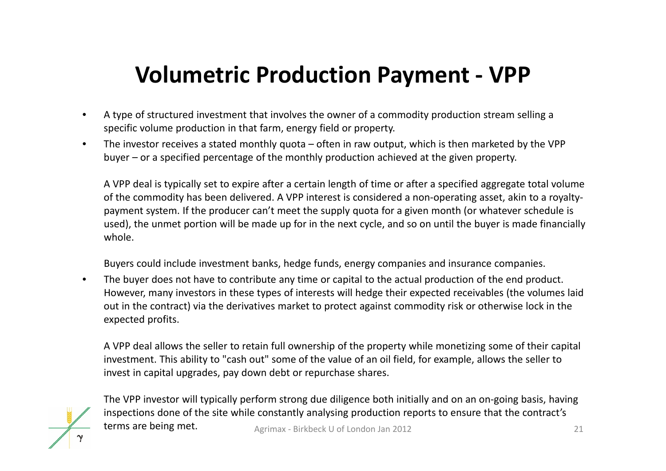### **Volumetric Production Payment ‐ VPP**

- • A type of structured investment that involves the owner of <sup>a</sup> commodity production stream selling <sup>a</sup> specific volume production in that farm, energy field or property.
- • The investor receives <sup>a</sup> stated monthly quota – often in raw output, which is then marketed by the VPP buyer – or <sup>a</sup> specified percentage of the monthly production achieved at the given property.

A VPP deal is typically set to expire after <sup>a</sup> certain length of time or after <sup>a</sup> specified aggregate total volume of the commodity has been delivered. A VPP interest is considered <sup>a</sup> non‐operating asset, akin to <sup>a</sup> royalty‐ payment system. If the producer can't meet the supply quota for <sup>a</sup> given month (or whatever schedule is used), the unmet portion will be made up for in the next cycle, and so on until the buyer is made financially whole.

Buyers could include investment banks, hedge funds, energy companies and insurance companies.

• The buyer does not have to contribute any time or capital to the actual production of the end product. However, many investors in these types of interests will hedge their expected receivables (the volumes laid out in the contract) via the derivatives market to protect against commodity risk or otherwise lock in the expected profits.

A VPP deal allows the seller to retain full ownership of the property while monetizing some of their capital investment. This ability to "cash out" some of the value of an oil field, for example, allows the seller to invest in capital upgrades, pay down debt or repurchase shares.



The VPP investor will typically perform strong due diligence both initially and on an on‐going basis, having inspections done of the site while constantly analysing production reports to ensure that the contract's terms arebeing metr. Agrimax - Birkbeck U of London Jan 2012 21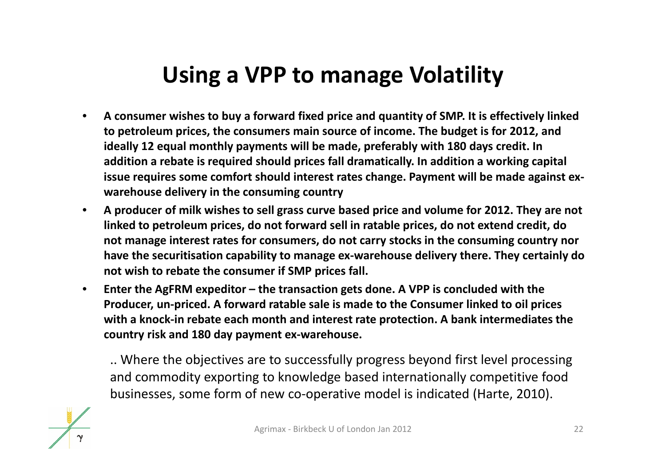#### **Using <sup>a</sup> VPP to manage Volatility**

- • **A consumer wishes to buy <sup>a</sup> forward fixed price and quantity of SMP. It is effectively linked to petroleum prices, the consumers main source of income. The budget is for 2012, and ideally 12 equal monthly payments will be made, preferably with 180 days credit. In addition <sup>a</sup> rebate is required should prices fall dramatically. In addition <sup>a</sup> working capital issue requires some comfort should interest rates change. Payment will be made against ex‐ warehouse delivery in the consuming country**
- **A producer of milk wishes to sell grass curve based price and volume for 2012. They are not linked to petroleum prices, do not forward sell in ratable prices, do not extend credit, do not manage interest rates for consumers, do not carry stocks in the consuming country nor have the securitisation capability to manage ex‐warehouse delivery there. They certainly do not wish to rebate the consumer if SMP prices fall.**
- $\bullet$  **Enter the AgFRM expeditor – the transaction gets done. A VPP is concluded with the Producer, un‐priced. A forward ratable sale is made to the Consumer linked to oil prices with <sup>a</sup> knock‐in rebate each month and interest rate protection. A bank intermediates the country risk and 180 day payment ex‐warehouse.**

.. Where the objectives are to successfully progress beyond first level processing and commodity exporting to knowledge based internationally competitive food businesses, some form of new co‐operative model is indicated (Harte, 2010).

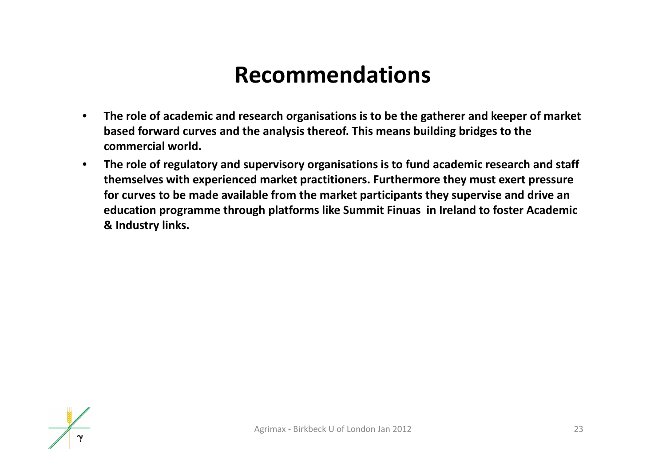#### **Recommendations**

- • **The role of academic and research organisations is to be the gatherer and keeper of market based forward curves and the analysis thereof. This means building bridges to the commercial world.**
- $\bullet$  **The role of regulatory and supervisory organisations is to fund academic research and staff themselves with experienced market practitioners. Furthermore they must exert pressure for curves to be made available from the market participants they supervise and drive an education programme through platforms like Summit Finuas in Ireland to foster Academic & Industry links.**

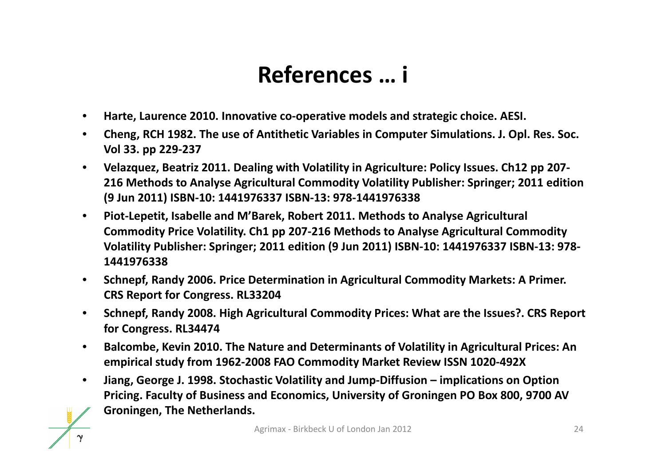#### **References … i**

- •**Harte, Laurence 2010. Innovative co‐operative models and strategic choice. AESI.**
- • **Cheng, RCH 1982. The use of Antithetic Variables in Computer Simulations. J. Opl. Res. Soc. Vol 33. pp 229‐237**
- • **Velazquez, Beatriz 2011. Dealing with Volatility in Agriculture: Policy Issues. Ch12 pp 207‐ 216 Methods to Analyse Agricultural Commodity Volatility Publisher: Springer; 2011 edition (9 Jun 2011) ISBN‐10: 1441976337 ISBN‐13: 978‐1441976338**
- $\bullet$  **Piot‐Lepetit, Isabelle and M'Barek, Robert 2011. Methods to Analyse Agricultural Commodity Price Volatility. Ch1 pp 207‐216 Methods to Analyse Agricultural Commodity Volatility Publisher: Springer; 2011 edition (9 Jun 2011) ISBN‐10: 1441976337 ISBN‐13: 978‐ 1441976338**
- $\bullet$  **Schnepf, Randy 2006. Price Determination in Agricultural Commodity Markets: A Primer. CRS Report for Congress. RL33204**
- $\bullet$  **Schnepf, Randy 2008. High Agricultural Commodity Prices: What are the Issues?. CRS Report for Congress. RL34474**
- $\bullet$  **Balcombe, Kevin 2010. The Nature and Determinants of Volatility in Agricultural Prices: An empirical study from 1962‐2008 FAO Commodity Market Review ISSN 1020‐492X**
- • **Jiang, George J. 1998. Stochastic Volatility and Jump‐Diffusion – implications on Option Pricing. Faculty of Business and Economics, University of Groningen PO Box 800, 9700 AV Groningen, The Netherlands.**